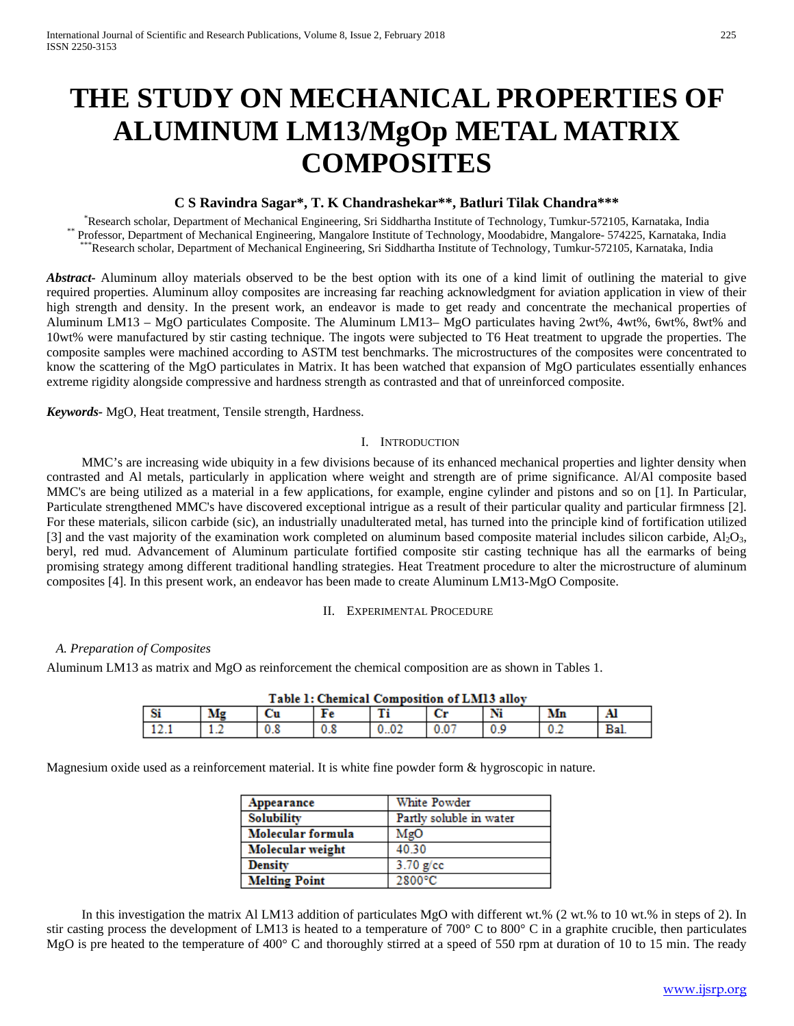# **THE STUDY ON MECHANICAL PROPERTIES OF ALUMINUM LM13/MgOp METAL MATRIX COMPOSITES**

# **C S Ravindra Sagar\*, T. K Chandrashekar\*\*, Batluri Tilak Chandra\*\*\***

Research scholar, Department of Mechanical Engineering, Sri Siddhartha Institute of Technology, Tumkur-572105, Karnataka, India Professor, Department of Mechanical Engineering, Mangalore Institute of Technology, Moodabidre, Mangalore- 574225, Karnataka, India<br>\*\*\*Research scholar, Department of Mechanical Engineering, Sri Siddhartha Institute of Tec

*Abstract-* Aluminum alloy materials observed to be the best option with its one of a kind limit of outlining the material to give required properties. Aluminum alloy composites are increasing far reaching acknowledgment for aviation application in view of their high strength and density. In the present work, an endeavor is made to get ready and concentrate the mechanical properties of Aluminum LM13 – MgO particulates Composite. The Aluminum LM13– MgO particulates having 2wt%, 4wt%, 6wt%, 8wt% and 10wt% were manufactured by stir casting technique. The ingots were subjected to T6 Heat treatment to upgrade the properties. The composite samples were machined according to ASTM test benchmarks. The microstructures of the composites were concentrated to know the scattering of the MgO particulates in Matrix. It has been watched that expansion of MgO particulates essentially enhances extreme rigidity alongside compressive and hardness strength as contrasted and that of unreinforced composite.

*Keywords-* MgO, Heat treatment, Tensile strength, Hardness.

#### I. INTRODUCTION

MMC's are increasing wide ubiquity in a few divisions because of its enhanced mechanical properties and lighter density when contrasted and Al metals, particularly in application where weight and strength are of prime significance. Al/Al composite based MMC's are being utilized as a material in a few applications, for example, engine cylinder and pistons and so on [1]. In Particular, Particulate strengthened MMC's have discovered exceptional intrigue as a result of their particular quality and particular firmness [2]. For these materials, silicon carbide (sic), an industrially unadulterated metal, has turned into the principle kind of fortification utilized [3] and the vast majority of the examination work completed on aluminum based composite material includes silicon carbide,  $A_1O_3$ , beryl, red mud. Advancement of Aluminum particulate fortified composite stir casting technique has all the earmarks of being promising strategy among different traditional handling strategies. Heat Treatment procedure to alter the microstructure of aluminum composites [4]. In this present work, an endeavor has been made to create Aluminum LM13-MgO Composite.

#### II. EXPERIMENTAL PROCEDURE

#### *A. Preparation of Composites*

Aluminum LM13 as matrix and MgO as reinforcement the chemical composition are as shown in Tables 1.

| Table 1: Chemical Composition of LM13 alloy |    |     |     |  |  |    |     |     |  |
|---------------------------------------------|----|-----|-----|--|--|----|-----|-----|--|
|                                             | Mg |     | rе  |  |  | Ni | Mn  |     |  |
|                                             | .  | υ.ο | v.a |  |  |    | U.Z | Bal |  |

#### $-111$  $\mathbf{r}$  $27.272.5$

Magnesium oxide used as a reinforcement material. It is white fine powder form & hygroscopic in nature.

| Appearance           | White Powder            |  |  |  |
|----------------------|-------------------------|--|--|--|
| <b>Solubility</b>    | Partly soluble in water |  |  |  |
| Molecular formula    | MgO                     |  |  |  |
| Molecular weight     | 40.30                   |  |  |  |
| <b>Density</b>       | $3.70$ g/cc             |  |  |  |
| <b>Melting Point</b> | 2800°C                  |  |  |  |

In this investigation the matrix Al LM13 addition of particulates MgO with different wt.% (2 wt.% to 10 wt.% in steps of 2). In stir casting process the development of LM13 is heated to a temperature of 700 $\degree$  C to 800 $\degree$  C in a graphite crucible, then particulates MgO is pre heated to the temperature of 400° C and thoroughly stirred at a speed of 550 rpm at duration of 10 to 15 min. The ready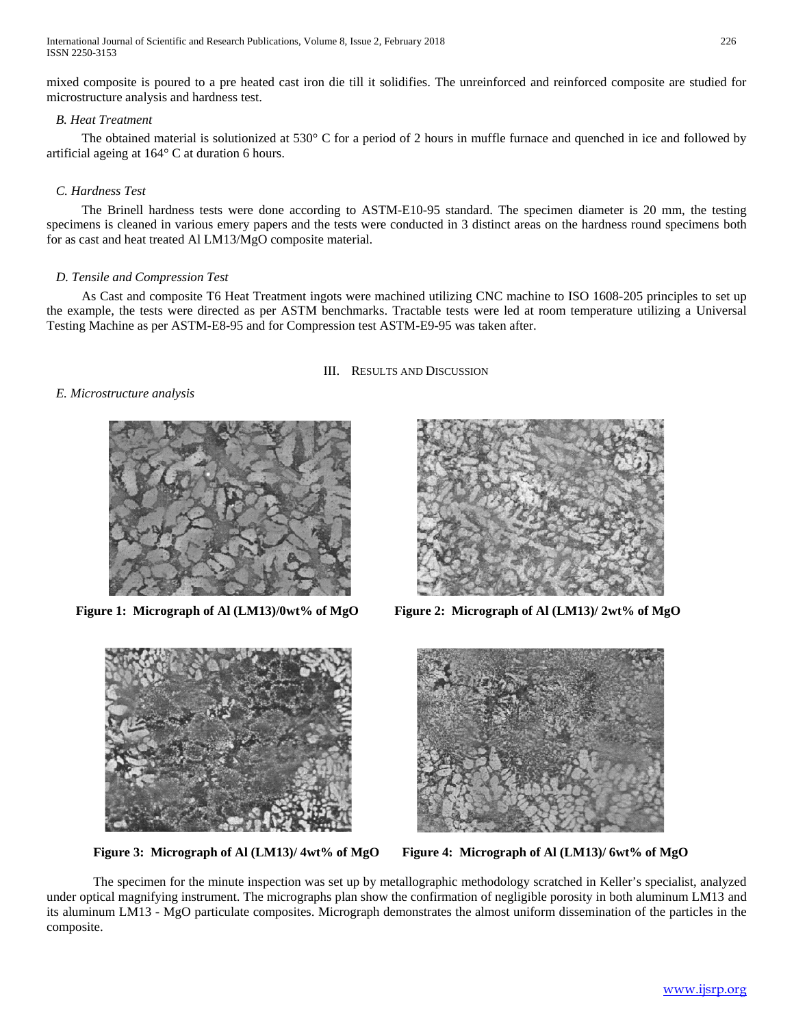International Journal of Scientific and Research Publications, Volume 8, Issue 2, February 2018 226 ISSN 2250-3153

mixed composite is poured to a pre heated cast iron die till it solidifies. The unreinforced and reinforced composite are studied for microstructure analysis and hardness test.

# *B. Heat Treatment*

The obtained material is solutionized at 530° C for a period of 2 hours in muffle furnace and quenched in ice and followed by artificial ageing at 164° C at duration 6 hours.

# *C. Hardness Test*

The Brinell hardness tests were done according to ASTM-E10-95 standard. The specimen diameter is 20 mm, the testing specimens is cleaned in various emery papers and the tests were conducted in 3 distinct areas on the hardness round specimens both for as cast and heat treated Al LM13/MgO composite material.

#### *D. Tensile and Compression Test*

As Cast and composite T6 Heat Treatment ingots were machined utilizing CNC machine to ISO 1608-205 principles to set up the example, the tests were directed as per ASTM benchmarks. Tractable tests were led at room temperature utilizing a Universal Testing Machine as per ASTM-E8-95 and for Compression test ASTM-E9-95 was taken after.

III. RESULTS AND DISCUSSION

#### *E. Microstructure analysis*





 **Figure 1: Micrograph of Al (LM13)/0wt% of MgO Figure 2: Micrograph of Al (LM13)/ 2wt% of MgO**



**Figure 3: Micrograph of Al (LM13)/ 4wt% of MgO Figure 4: Micrograph of Al (LM13)/ 6wt% of MgO**



The specimen for the minute inspection was set up by metallographic methodology scratched in Keller's specialist, analyzed under optical magnifying instrument. The micrographs plan show the confirmation of negligible porosity in both aluminum LM13 and its aluminum LM13 - MgO particulate composites. Micrograph demonstrates the almost uniform dissemination of the particles in the composite.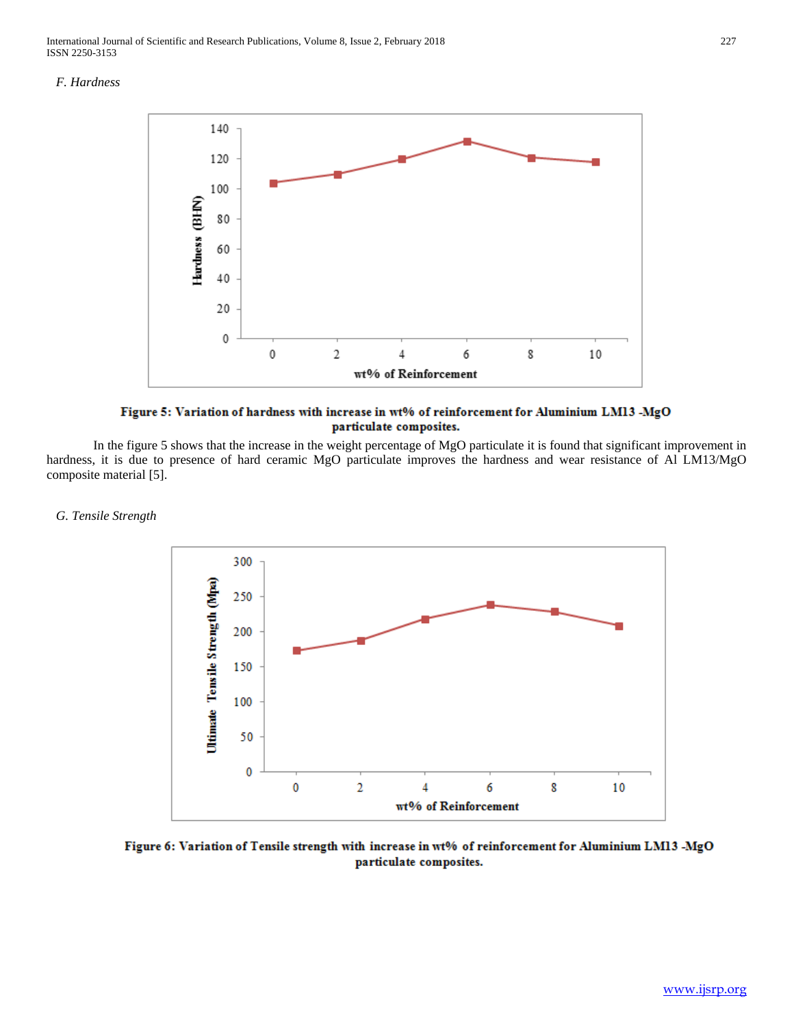International Journal of Scientific and Research Publications, Volume 8, Issue 2, February 2018 227 ISSN 2250-3153

#### *F. Hardness*



Figure 5: Variation of hardness with increase in wt% of reinforcement for Aluminium LM13 -MgO particulate composites.

In the figure 5 shows that the increase in the weight percentage of MgO particulate it is found that significant improvement in hardness, it is due to presence of hard ceramic MgO particulate improves the hardness and wear resistance of Al LM13/MgO composite material [5].

#### *G. Tensile Strength*



Figure 6: Variation of Tensile strength with increase in wt% of reinforcement for Aluminium LM13 -MgO particulate composites.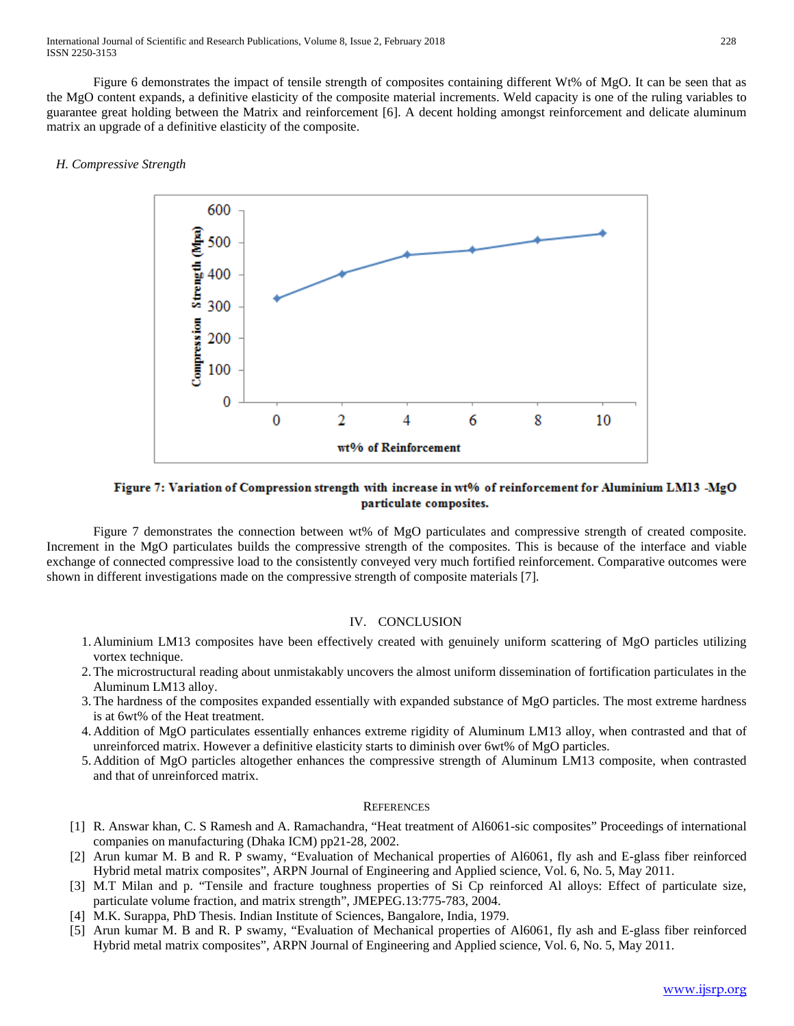Figure 6 demonstrates the impact of tensile strength of composites containing different Wt% of MgO. It can be seen that as the MgO content expands, a definitive elasticity of the composite material increments. Weld capacity is one of the ruling variables to guarantee great holding between the Matrix and reinforcement [6]. A decent holding amongst reinforcement and delicate aluminum matrix an upgrade of a definitive elasticity of the composite.

## *H. Compressive Strength*



# Figure 7: Variation of Compression strength with increase in wt% of reinforcement for Aluminium LM13 -MgO particulate composites.

Figure 7 demonstrates the connection between wt% of MgO particulates and compressive strength of created composite. Increment in the MgO particulates builds the compressive strength of the composites. This is because of the interface and viable exchange of connected compressive load to the consistently conveyed very much fortified reinforcement. Comparative outcomes were shown in different investigations made on the compressive strength of composite materials [7].

### IV. CONCLUSION

- 1. Aluminium LM13 composites have been effectively created with genuinely uniform scattering of MgO particles utilizing vortex technique.
- 2.The microstructural reading about unmistakably uncovers the almost uniform dissemination of fortification particulates in the Aluminum LM13 alloy.
- 3.The hardness of the composites expanded essentially with expanded substance of MgO particles. The most extreme hardness is at 6wt% of the Heat treatment.
- 4. Addition of MgO particulates essentially enhances extreme rigidity of Aluminum LM13 alloy, when contrasted and that of unreinforced matrix. However a definitive elasticity starts to diminish over 6wt% of MgO particles.
- 5. Addition of MgO particles altogether enhances the compressive strength of Aluminum LM13 composite, when contrasted and that of unreinforced matrix.

#### **REFERENCES**

- [1] R. Answar khan, C. S Ramesh and A. Ramachandra, "Heat treatment of Al6061-sic composites" Proceedings of international companies on manufacturing (Dhaka ICM) pp21-28, 2002.
- [2] Arun kumar M. B and R. P swamy, "Evaluation of Mechanical properties of Al6061, fly ash and E-glass fiber reinforced Hybrid metal matrix composites", ARPN Journal of Engineering and Applied science, Vol. 6, No. 5, May 2011.
- [3] M.T Milan and p. "Tensile and fracture toughness properties of Si Cp reinforced Al alloys: Effect of particulate size, particulate volume fraction, and matrix strength", JMEPEG.13:775-783, 2004.
- [4] M.K. Surappa, PhD Thesis. Indian Institute of Sciences, Bangalore, India, 1979.
- [5] Arun kumar M. B and R. P swamy, "Evaluation of Mechanical properties of Al6061, fly ash and E-glass fiber reinforced Hybrid metal matrix composites", ARPN Journal of Engineering and Applied science, Vol. 6, No. 5, May 2011.